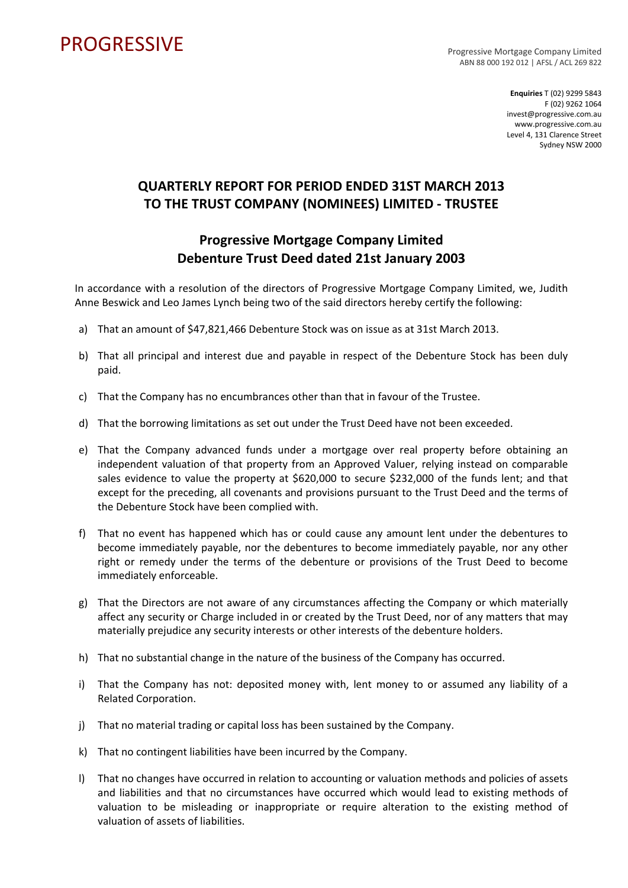## PROGRESSIVE PROGRESSIVE

ABN 88 000 192 012 | AFSL / ACL 269 822

**Enquiries** T (02) 9299 5843 F (02) 9262 1064 invest@progressive.com.au www.progressive.com.au Level 4, 131 Clarence Street Sydney NSW 2000

## **QUARTERLY REPORT FOR PERIOD ENDED 31ST MARCH 2013 TO THE TRUST COMPANY (NOMINEES) LIMITED ‐ TRUSTEE**

## **Progressive Mortgage Company Limited Debenture Trust Deed dated 21st January 2003**

In accordance with a resolution of the directors of Progressive Mortgage Company Limited, we, Judith Anne Beswick and Leo James Lynch being two of the said directors hereby certify the following:

- a) That an amount of \$47,821,466 Debenture Stock was on issue as at 31st March 2013.
- b) That all principal and interest due and payable in respect of the Debenture Stock has been duly paid.
- c) That the Company has no encumbrances other than that in favour of the Trustee.
- d) That the borrowing limitations as set out under the Trust Deed have not been exceeded.
- e) That the Company advanced funds under a mortgage over real property before obtaining an independent valuation of that property from an Approved Valuer, relying instead on comparable sales evidence to value the property at \$620,000 to secure \$232,000 of the funds lent; and that except for the preceding, all covenants and provisions pursuant to the Trust Deed and the terms of the Debenture Stock have been complied with.
- f) That no event has happened which has or could cause any amount lent under the debentures to become immediately payable, nor the debentures to become immediately payable, nor any other right or remedy under the terms of the debenture or provisions of the Trust Deed to become immediately enforceable.
- g) That the Directors are not aware of any circumstances affecting the Company or which materially affect any security or Charge included in or created by the Trust Deed, nor of any matters that may materially prejudice any security interests or other interests of the debenture holders.
- h) That no substantial change in the nature of the business of the Company has occurred.
- i) That the Company has not: deposited money with, lent money to or assumed any liability of a Related Corporation.
- j) That no material trading or capital loss has been sustained by the Company.
- k) That no contingent liabilities have been incurred by the Company.
- l) That no changes have occurred in relation to accounting or valuation methods and policies of assets and liabilities and that no circumstances have occurred which would lead to existing methods of valuation to be misleading or inappropriate or require alteration to the existing method of valuation of assets of liabilities.